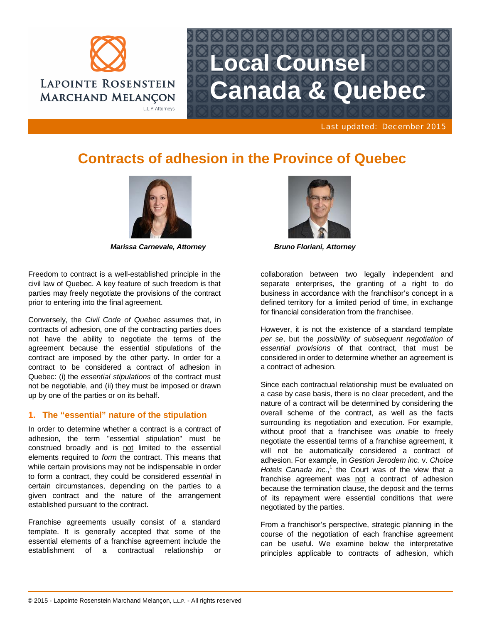

# **Local Counsel Canada & Quebec**

Last updated: December 2015

# **Contracts of adhesion in the Province of Quebec**



*Marissa Carnevale, Attorney Bruno Floriani, Attorney*

Freedom to contract is a well-established principle in the civil law of Quebec. A key feature of such freedom is that parties may freely negotiate the provisions of the contract prior to entering into the final agreement.

Conversely, the *Civil Code of Quebec* assumes that, in contracts of adhesion, one of the contracting parties does not have the ability to negotiate the terms of the agreement because the essential stipulations of the contract are imposed by the other party. In order for a contract to be considered a contract of adhesion in Quebec: (i) the *essential stipulations* of the contract must not be negotiable, and (ii) they must be imposed or drawn up by one of the parties or on its behalf.

# **1. The "essential" nature of the stipulation**

In order to determine whether a contract is a contract of adhesion, the term "essential stipulation" must be construed broadly and is not limited to the essential elements required to *form* the contract. This means that while certain provisions may not be indispensable in order to form a contract, they could be considered *essential* in certain circumstances, depending on the parties to a given contract and the nature of the arrangement established pursuant to the contract.

Franchise agreements usually consist of a standard template. It is generally accepted that some of the essential elements of a franchise agreement include the establishment of a contractual relationship or



collaboration between two legally independent and separate enterprises, the granting of a right to do business in accordance with the franchisor's concept in a defined territory for a limited period of time, in exchange for financial consideration from the franchisee.

However, it is not the existence of a standard template *per se*, but the *possibility of subsequent negotiation of essential provisions* of that contract, that must be considered in order to determine whether an agreement is a contract of adhesion.

Since each contractual relationship must be evaluated on a case by case basis, there is no clear precedent, and the nature of a contract will be determined by considering the overall scheme of the contract, as well as the facts surrounding its negotiation and execution. For example, without proof that a franchisee was *unable* to freely negotiate the essential terms of a franchise agreement, it will not be automatically considered a contract of adhesion. For example, in *Gestion Jerodem inc.* v. *Choice* Hotels Canada inc.,<sup>1</sup> the Court was of the view that a franchise agreement was not a contract of adhesion because the termination clause, the deposit and the terms of its repayment were essential conditions that *were* negotiated by the parties.

From a franchisor's perspective, strategic planning in the course of the negotiation of each franchise agreement can be useful. We examine below the interpretative principles applicable to contracts of adhesion, which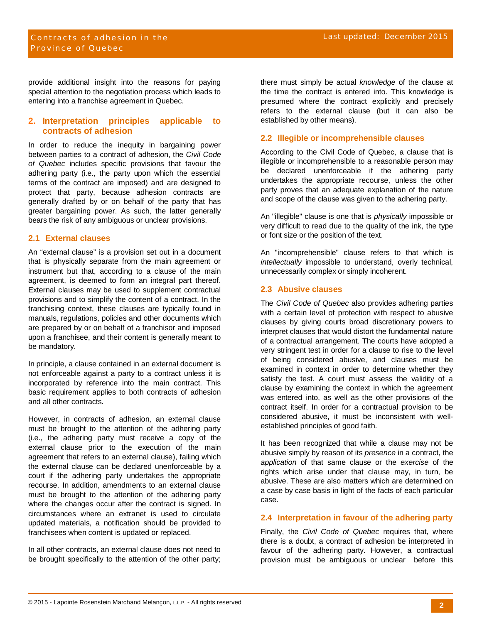provide additional insight into the reasons for paying special attention to the negotiation process which leads to entering into a franchise agreement in Quebec.

## **2. Interpretation principles applicable to contracts of adhesion**

In order to reduce the inequity in bargaining power between parties to a contract of adhesion, the *Civil Code of Quebec* includes specific provisions that favour the adhering party (i.e., the party upon which the essential terms of the contract are imposed) and are designed to protect that party, because adhesion contracts are generally drafted by or on behalf of the party that has greater bargaining power. As such, the latter generally bears the risk of any ambiguous or unclear provisions.

#### **2.1 External clauses**

An "external clause" is a provision set out in a document that is physically separate from the main agreement or instrument but that, according to a clause of the main agreement, is deemed to form an integral part thereof. External clauses may be used to supplement contractual provisions and to simplify the content of a contract. In the franchising context, these clauses are typically found in manuals, regulations, policies and other documents which are prepared by or on behalf of a franchisor and imposed upon a franchisee, and their content is generally meant to be mandatory.

In principle, a clause contained in an external document is not enforceable against a party to a contract unless it is incorporated by reference into the main contract. This basic requirement applies to both contracts of adhesion and all other contracts.

However, in contracts of adhesion, an external clause must be brought to the attention of the adhering party (i.e., the adhering party must receive a copy of the external clause prior to the execution of the main agreement that refers to an external clause), failing which the external clause can be declared unenforceable by a court if the adhering party undertakes the appropriate recourse. In addition, amendments to an external clause must be brought to the attention of the adhering party where the changes occur after the contract is signed. In circumstances where an extranet is used to circulate updated materials, a notification should be provided to franchisees when content is updated or replaced.

In all other contracts, an external clause does not need to be brought specifically to the attention of the other party; there must simply be actual *knowledge* of the clause at the time the contract is entered into. This knowledge is presumed where the contract explicitly and precisely refers to the external clause (but it can also be established by other means).

## **2.2 Illegible or incomprehensible clauses**

According to the Civil Code of Quebec, a clause that is illegible or incomprehensible to a reasonable person may be declared unenforceable if the adhering party undertakes the appropriate recourse, unless the other party proves that an adequate explanation of the nature and scope of the clause was given to the adhering party.

An "illegible" clause is one that is *physically* impossible or very difficult to read due to the quality of the ink, the type or font size or the position of the text.

An "incomprehensible" clause refers to that which is *intellectually* impossible to understand, overly technical, unnecessarily complex or simply incoherent.

# **2.3 Abusive clauses**

The *Civil Code of Quebec* also provides adhering parties with a certain level of protection with respect to abusive clauses by giving courts broad discretionary powers to interpret clauses that would distort the fundamental nature of a contractual arrangement. The courts have adopted a very stringent test in order for a clause to rise to the level of being considered abusive, and clauses must be examined in context in order to determine whether they satisfy the test. A court must assess the validity of a clause by examining the context in which the agreement was entered into, as well as the other provisions of the contract itself. In order for a contractual provision to be considered abusive, it must be inconsistent with wellestablished principles of good faith.

It has been recognized that while a clause may not be abusive simply by reason of its *presence* in a contract, the *application* of that same clause or the *exercise* of the rights which arise under that clause may, in turn, be abusive. These are also matters which are determined on a case by case basis in light of the facts of each particular case.

#### **2.4 Interpretation in favour of the adhering party**

Finally, the *Civil Code of Quebec* requires that, where there is a doubt, a contract of adhesion be interpreted in favour of the adhering party. However, a contractual provision must be ambiguous or unclear before this